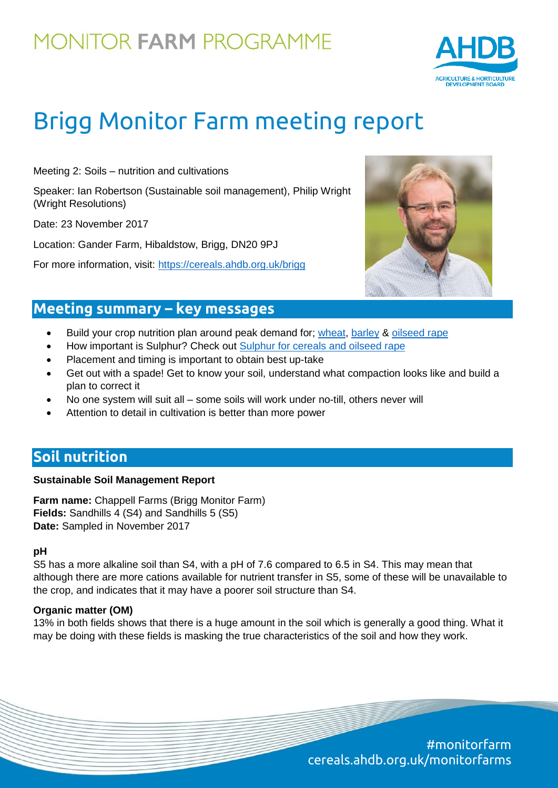

# Brigg Monitor Farm meeting report

Meeting 2: Soils – nutrition and cultivations

Speaker: Ian Robertson (Sustainable soil management), Philip Wright (Wright Resolutions)

Date: 23 November 2017

Location: Gander Farm, Hibaldstow, Brigg, DN20 9PJ

For more information, visit:<https://cereals.ahdb.org.uk/brigg>



### **Meeting summary – key messages**

- Build your crop nutrition plan around peak demand for; [wheat,](https://cereals.ahdb.org.uk/media/185687/g66-wheat-growth-guide.pdf) [barley](https://cereals.ahdb.org.uk/media/186381/g67-barley-growth-guide.pdf) & [oilseed rape](https://cereals.ahdb.org.uk/media/493856/g65-oilseed-rape-guide.pdf)
- How important is Sulphur? Check out [Sulphur for cereals and oilseed rape](https://cereals.ahdb.org.uk/media/357116/is28-sulphur-for-cereals-and-oilseed-rape.pdf)
- Placement and timing is important to obtain best up-take
- Get out with a spade! Get to know your soil, understand what compaction looks like and build a plan to correct it
- No one system will suit all some soils will work under no-till, others never will
- Attention to detail in cultivation is better than more power

### **Soil nutrition**

#### **Sustainable Soil Management Report**

**Farm name:** Chappell Farms (Brigg Monitor Farm) **Fields:** Sandhills 4 (S4) and Sandhills 5 (S5) **Date:** Sampled in November 2017

#### **pH**

S5 has a more alkaline soil than S4, with a pH of 7.6 compared to 6.5 in S4. This may mean that although there are more cations available for nutrient transfer in S5, some of these will be unavailable to the crop, and indicates that it may have a poorer soil structure than S4.

#### **Organic matter (OM)**

13% in both fields shows that there is a huge amount in the soil which is generally a good thing. What it may be doing with these fields is masking the true characteristics of the soil and how they work.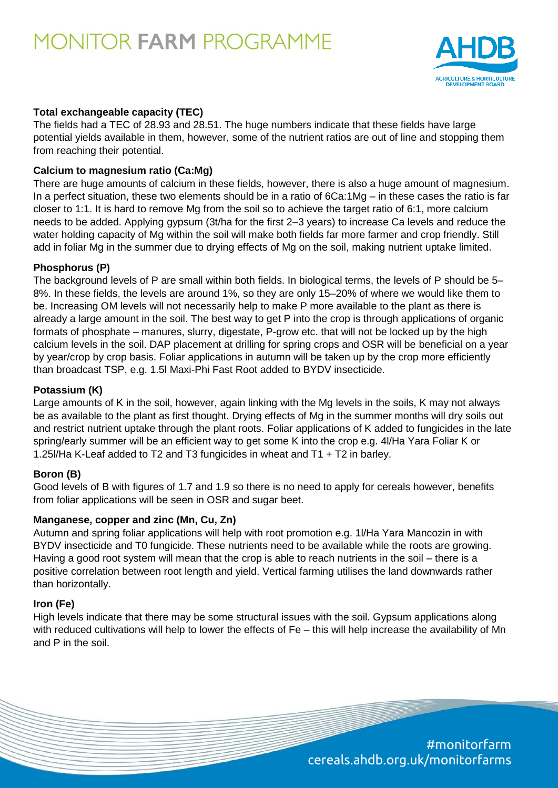

#### **Total exchangeable capacity (TEC)**

The fields had a TEC of 28.93 and 28.51. The huge numbers indicate that these fields have large potential yields available in them, however, some of the nutrient ratios are out of line and stopping them from reaching their potential.

#### **Calcium to magnesium ratio (Ca:Mg)**

There are huge amounts of calcium in these fields, however, there is also a huge amount of magnesium. In a perfect situation, these two elements should be in a ratio of 6Ca:1Mg – in these cases the ratio is far closer to 1:1. It is hard to remove Mg from the soil so to achieve the target ratio of 6:1, more calcium needs to be added. Applying gypsum (3t/ha for the first 2–3 years) to increase Ca levels and reduce the water holding capacity of Mg within the soil will make both fields far more farmer and crop friendly. Still add in foliar Mg in the summer due to drying effects of Mg on the soil, making nutrient uptake limited.

#### **Phosphorus (P)**

The background levels of P are small within both fields. In biological terms, the levels of P should be 5– 8%. In these fields, the levels are around 1%, so they are only 15–20% of where we would like them to be. Increasing OM levels will not necessarily help to make P more available to the plant as there is already a large amount in the soil. The best way to get P into the crop is through applications of organic formats of phosphate – manures, slurry, digestate, P-grow etc. that will not be locked up by the high calcium levels in the soil. DAP placement at drilling for spring crops and OSR will be beneficial on a year by year/crop by crop basis. Foliar applications in autumn will be taken up by the crop more efficiently than broadcast TSP, e.g. 1.5l Maxi-Phi Fast Root added to BYDV insecticide.

#### **Potassium (K)**

Large amounts of K in the soil, however, again linking with the Mg levels in the soils, K may not always be as available to the plant as first thought. Drying effects of Mg in the summer months will dry soils out and restrict nutrient uptake through the plant roots. Foliar applications of K added to fungicides in the late spring/early summer will be an efficient way to get some K into the crop e.g. 4I/Ha Yara Foliar K or 1.25l/Ha K-Leaf added to T2 and T3 fungicides in wheat and T1 + T2 in barley.

#### **Boron (B)**

Good levels of B with figures of 1.7 and 1.9 so there is no need to apply for cereals however, benefits from foliar applications will be seen in OSR and sugar beet.

#### **Manganese, copper and zinc (Mn, Cu, Zn)**

Autumn and spring foliar applications will help with root promotion e.g. 1l/Ha Yara Mancozin in with BYDV insecticide and T0 fungicide. These nutrients need to be available while the roots are growing. Having a good root system will mean that the crop is able to reach nutrients in the soil – there is a positive correlation between root length and yield. Vertical farming utilises the land downwards rather than horizontally.

#### **Iron (Fe)**

High levels indicate that there may be some structural issues with the soil. Gypsum applications along with reduced cultivations will help to lower the effects of Fe – this will help increase the availability of Mn and P in the soil.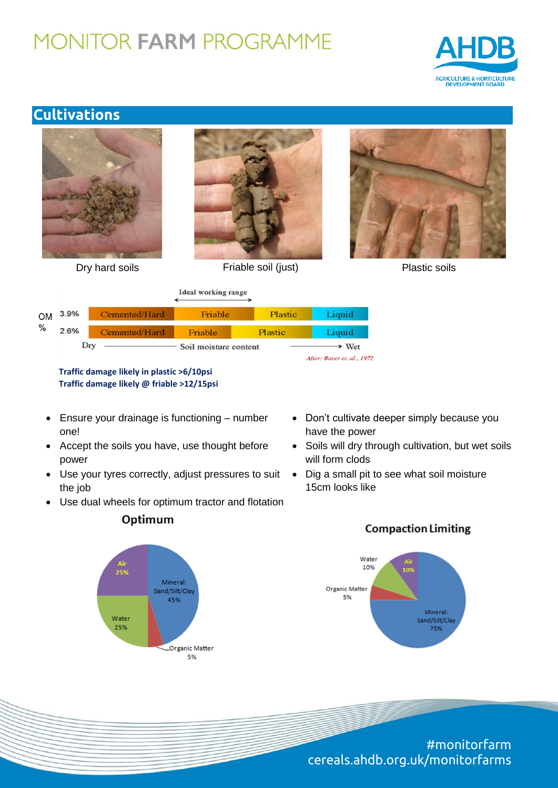

### **Cultivations**





Ideal working range

| <b>OM</b><br>$\%$ | $3.9\%$                      | Cemented/Hard | Friable | Plastic        | Liquid                     |
|-------------------|------------------------------|---------------|---------|----------------|----------------------------|
|                   | 2.6%                         | Cemented/Hard | Friable | <b>Plastic</b> | Liquid                     |
|                   | Dry<br>Soil moisture content |               |         | > Wet          |                            |
|                   |                              |               |         |                | After: Baver et. al., 1972 |

**Traffic damage likely in plastic >6/10psi Traffic damage likely @ friable >12/15psi**

- Ensure your drainage is functioning number one!
- Accept the soils you have, use thought before power
- Use your tyres correctly, adjust pressures to suit the job
- Use dual wheels for optimum tractor and flotation

### **Optimum**



- Don't cultivate deeper simply because you have the power
- Soils will dry through cultivation, but wet soils will form clods
- Dig a small pit to see what soil moisture 15cm looks like

**Compaction Limiting**